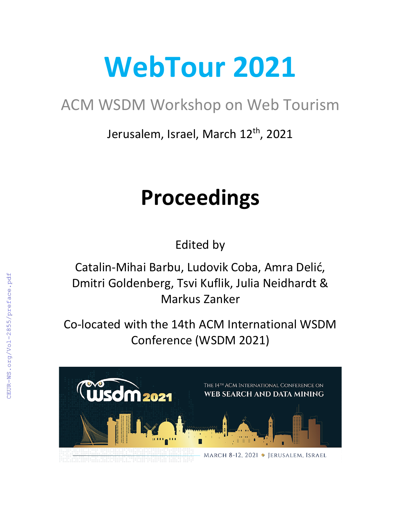# **WebTour 2021**

## ACM WSDM Workshop on Web Tourism

Jerusalem, Israel, March 12<sup>th</sup>, 2021

## **Proceedings**

Edited by

Catalin-Mihai Barbu, Ludovik Coba, Amra Delić, Dmitri Goldenberg, Tsvi Kuflik, Julia Neidhardt & Markus Zanker

Co-located with the 14th ACM International WSDM Conference (WSDM 2021)

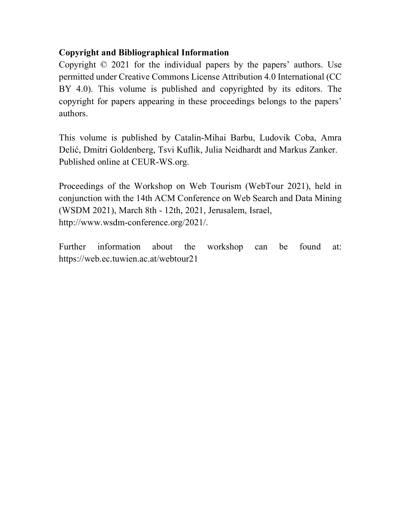## **Copyright and Bibliographical Information**

Copyright © 2021 for the individual papers by the papers' authors. Use permitted under Creative Commons License Attribution 4.0 International (CC BY 4.0). This volume is published and copyrighted by its editors. The copyright for papers appearing in these proceedings belongs to the papers' authors.

This volume is published by Catalin-Mihai Barbu, Ludovik Coba, Amra Delić, Dmitri Goldenberg, Tsvi Kuflik, Julia Neidhardt and Markus Zanker. Published online at CEUR-WS.org.

Proceedings of the Workshop on Web Tourism (WebTour 2021), held in conjunction with the 14th ACM Conference on Web Search and Data Mining (WSDM 2021), March 8th - 12th, 2021, Jerusalem, Israel, http://www.wsdm-conference.org/2021/.

Further information about the workshop can be found at: https://web.ec.tuwien.ac.at/webtour21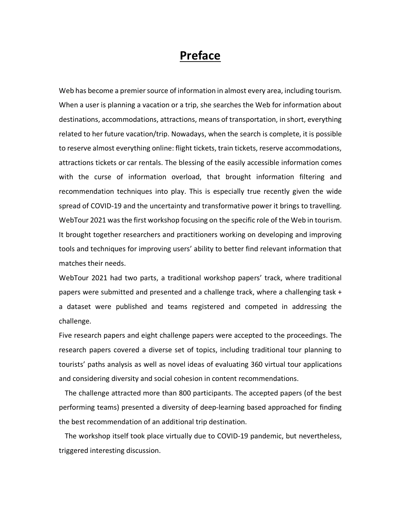## **Preface**

Web has become a premier source of information in almost every area, including tourism. When a user is planning a vacation or a trip, she searches the Web for information about destinations, accommodations, attractions, means of transportation, in short, everything related to her future vacation/trip. Nowadays, when the search is complete, it is possible to reserve almost everything online: flight tickets, train tickets, reserve accommodations, attractions tickets or car rentals. The blessing of the easily accessible information comes with the curse of information overload, that brought information filtering and recommendation techniques into play. This is especially true recently given the wide spread of COVID-19 and the uncertainty and transformative power it brings to travelling. WebTour 2021 was the first workshop focusing on the specific role of the Web in tourism. It brought together researchers and practitioners working on developing and improving tools and techniques for improving users' ability to better find relevant information that matches their needs.

WebTour 2021 had two parts, a traditional workshop papers' track, where traditional papers were submitted and presented and a challenge track, where a challenging task + a dataset were published and teams registered and competed in addressing the challenge.

Five research papers and eight challenge papers were accepted to the proceedings. The research papers covered a diverse set of topics, including traditional tour planning to tourists' paths analysis as well as novel ideas of evaluating 360 virtual tour applications and considering diversity and social cohesion in content recommendations.

The challenge attracted more than 800 participants. The accepted papers (of the best performing teams) presented a diversity of deep-learning based approached for finding the best recommendation of an additional trip destination.

The workshop itself took place virtually due to COVID-19 pandemic, but nevertheless, triggered interesting discussion.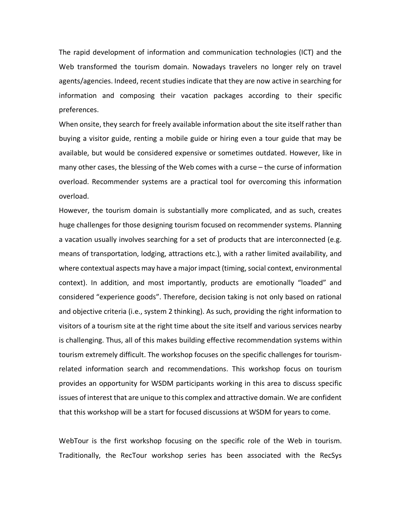The rapid development of information and communication technologies (ICT) and the Web transformed the tourism domain. Nowadays travelers no longer rely on travel agents/agencies. Indeed, recent studies indicate that they are now active in searching for information and composing their vacation packages according to their specific preferences.

When onsite, they search for freely available information about the site itself rather than buying a visitor guide, renting a mobile guide or hiring even a tour guide that may be available, but would be considered expensive or sometimes outdated. However, like in many other cases, the blessing of the Web comes with a curse – the curse of information overload. Recommender systems are a practical tool for overcoming this information overload.

However, the tourism domain is substantially more complicated, and as such, creates huge challenges for those designing tourism focused on recommender systems. Planning a vacation usually involves searching for a set of products that are interconnected (e.g. means of transportation, lodging, attractions etc.), with a rather limited availability, and where contextual aspects may have a majorimpact (timing, social context, environmental context). In addition, and most importantly, products are emotionally "loaded" and considered "experience goods". Therefore, decision taking is not only based on rational and objective criteria (i.e., system 2 thinking). As such, providing the right information to visitors of a tourism site at the right time about the site itself and various services nearby is challenging. Thus, all of this makes building effective recommendation systems within tourism extremely difficult. The workshop focuses on the specific challenges for tourismrelated information search and recommendations. This workshop focus on tourism provides an opportunity for WSDM participants working in this area to discuss specific issues of interest that are unique to this complex and attractive domain. We are confident that this workshop will be a start for focused discussions at WSDM for years to come.

WebTour is the first workshop focusing on the specific role of the Web in tourism. Traditionally, the RecTour workshop series has been associated with the RecSys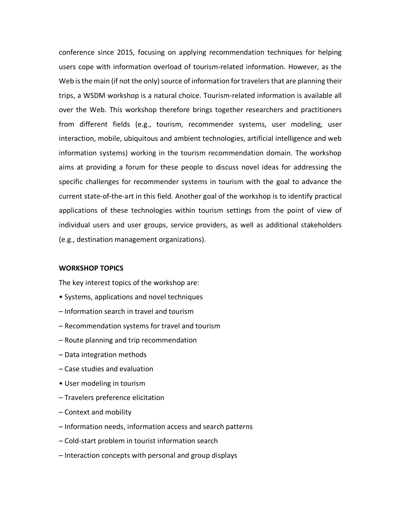conference since 2015, focusing on applying recommendation techniques for helping users cope with information overload of tourism-related information. However, as the Web is the main (if not the only) source of information for travelers that are planning their trips, a WSDM workshop is a natural choice. Tourism-related information is available all over the Web. This workshop therefore brings together researchers and practitioners from different fields (e.g., tourism, recommender systems, user modeling, user interaction, mobile, ubiquitous and ambient technologies, artificial intelligence and web information systems) working in the tourism recommendation domain. The workshop aims at providing a forum for these people to discuss novel ideas for addressing the specific challenges for recommender systems in tourism with the goal to advance the current state-of-the-art in this field. Another goal of the workshop is to identify practical applications of these technologies within tourism settings from the point of view of individual users and user groups, service providers, as well as additional stakeholders (e.g., destination management organizations).

#### **WORKSHOP TOPICS**

The key interest topics of the workshop are:

- Systems, applications and novel techniques
- Information search in travel and tourism
- Recommendation systems for travel and tourism
- Route planning and trip recommendation
- Data integration methods
- Case studies and evaluation
- User modeling in tourism
- Travelers preference elicitation
- Context and mobility
- Information needs, information access and search patterns
- Cold-start problem in tourist information search
- Interaction concepts with personal and group displays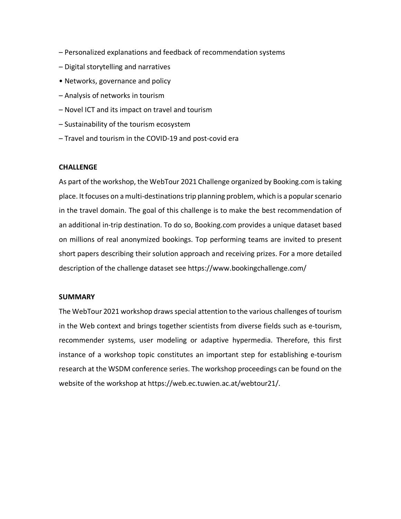- Personalized explanations and feedback of recommendation systems
- Digital storytelling and narratives
- Networks, governance and policy
- Analysis of networks in tourism
- Novel ICT and its impact on travel and tourism
- Sustainability of the tourism ecosystem
- Travel and tourism in the COVID-19 and post-covid era

#### **CHALLENGE**

As part of the workshop, the WebTour 2021 Challenge organized by Booking.com is taking place. It focuses on a multi-destinations trip planning problem, which is a popular scenario in the travel domain. The goal of this challenge is to make the best recommendation of an additional in-trip destination. To do so, Booking.com provides a unique dataset based on millions of real anonymized bookings. Top performing teams are invited to present short papers describing their solution approach and receiving prizes. For a more detailed description of the challenge dataset see https://www.bookingchallenge.com/

#### **SUMMARY**

The WebTour 2021 workshop draws special attention to the various challenges of tourism in the Web context and brings together scientists from diverse fields such as e-tourism, recommender systems, user modeling or adaptive hypermedia. Therefore, this first instance of a workshop topic constitutes an important step for establishing e-tourism research at the WSDM conference series. The workshop proceedings can be found on the website of the workshop at https://web.ec.tuwien.ac.at/webtour21/.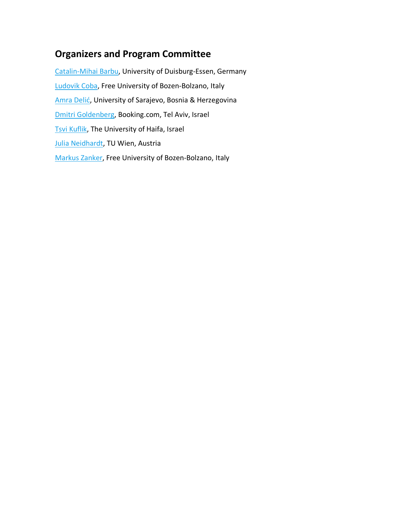## **Organizers and Program Committee**

Catalin-Mihai Barbu, University of Duisburg-Essen, Germany Ludovik Coba, Free University of Bozen-Bolzano, Italy Amra Delić, University of Sarajevo, Bosnia & Herzegovina Dmitri Goldenberg, Booking.com, Tel Aviv, Israel Tsvi Kuflik, The University of Haifa, Israel Julia Neidhardt, TU Wien, Austria Markus Zanker, Free University of Bozen-Bolzano, Italy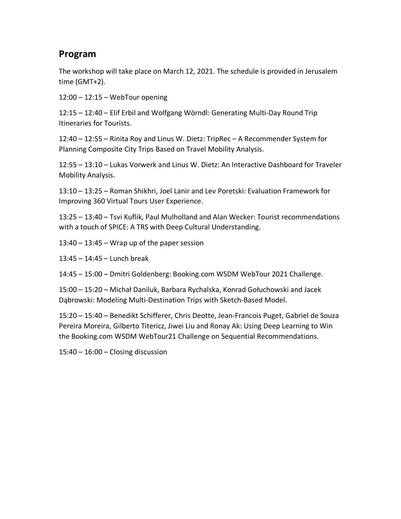### **Program**

The workshop will take place on March 12, 2021. The schedule is provided in Jerusalem time (GMT+2).

12:00 – 12:15 – WebTour opening

12:15 – 12:40 – Elif Erbil and Wolfgang Wörndl: Generating Multi-Day Round Trip Itineraries for Tourists.

12:40 – 12:55 – Rinita Roy and Linus W. Dietz: TripRec – A Recommender System for Planning Composite City Trips Based on Travel Mobility Analysis.

12:55 – 13:10 – Lukas Vorwerk and Linus W. Dietz: An Interactive Dashboard for Traveler Mobility Analysis.

13:10 – 13:25 – Roman Shikhri, Joel Lanir and Lev Poretski: Evaluation Framework for Improving 360 Virtual Tours User Experience.

13:25 – 13:40 – Tsvi Kuflik, Paul Mulholland and Alan Wecker: Tourist recommendations with a touch of SPICE: A TRS with Deep Cultural Understanding.

 $13:40 - 13:45 -$  Wrap up of the paper session

13:45 – 14:45 – Lunch break

14:45 – 15:00 – Dmitri Goldenberg: Booking.com WSDM WebTour 2021 Challenge.

15:00 – 15:20 – Michał Daniluk, Barbara Rychalska, Konrad Gołuchowski and Jacek Dąbrowski: Modeling Multi-Destination Trips with Sketch-Based Model.

15:20 – 15:40 – Benedikt Schifferer, Chris Deotte, Jean-Francois Puget, Gabriel de Souza Pereira Moreira, Gilberto Titericz, Jiwei Liu and Ronay Ak: Using Deep Learning to Win the Booking.com WSDM WebTour21 Challenge on Sequential Recommendations.

15:40 – 16:00 – Closing discussion